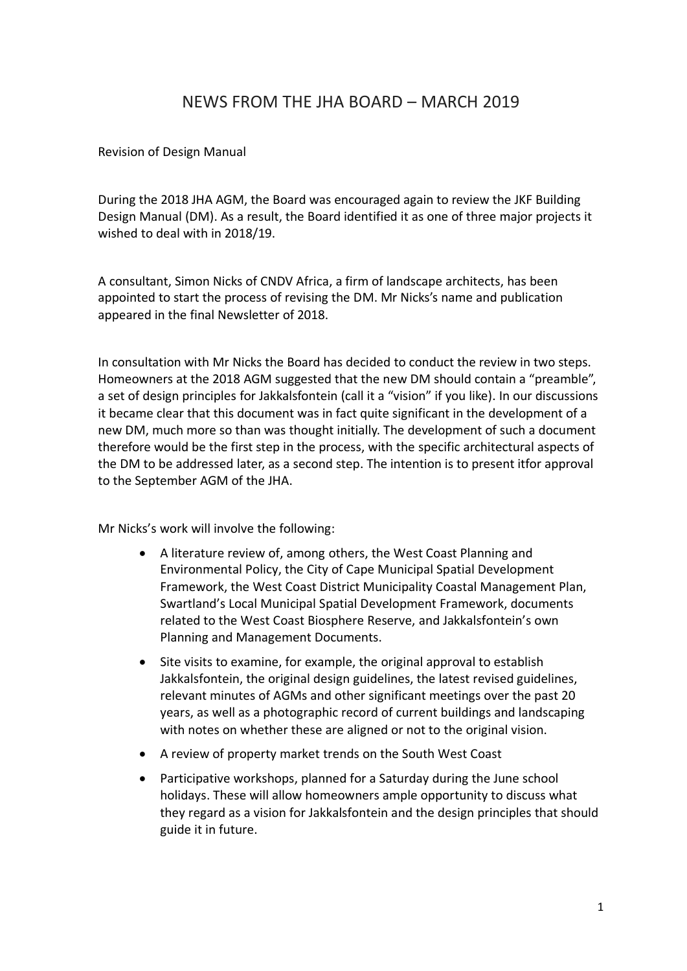## NEWS FROM THE JHA BOARD – MARCH 2019

## Revision of Design Manual

During the 2018 JHA AGM, the Board was encouraged again to review the JKF Building Design Manual (DM). As a result, the Board identified it as one of three major projects it wished to deal with in 2018/19.

A consultant, Simon Nicks of CNDV Africa, a firm of landscape architects, has been appointed to start the process of revising the DM. Mr Nicks's name and publication appeared in the final Newsletter of 2018.

In consultation with Mr Nicks the Board has decided to conduct the review in two steps. Homeowners at the 2018 AGM suggested that the new DM should contain a "preamble", a set of design principles for Jakkalsfontein (call it a "vision" if you like). In our discussions it became clear that this document was in fact quite significant in the development of a new DM, much more so than was thought initially. The development of such a document therefore would be the first step in the process, with the specific architectural aspects of the DM to be addressed later, as a second step. The intention is to present itfor approval to the September AGM of the JHA.

Mr Nicks's work will involve the following:

- A literature review of, among others, the West Coast Planning and Environmental Policy, the City of Cape Municipal Spatial Development Framework, the West Coast District Municipality Coastal Management Plan, Swartland's Local Municipal Spatial Development Framework, documents related to the West Coast Biosphere Reserve, and Jakkalsfontein's own Planning and Management Documents.
- Site visits to examine, for example, the original approval to establish Jakkalsfontein, the original design guidelines, the latest revised guidelines, relevant minutes of AGMs and other significant meetings over the past 20 years, as well as a photographic record of current buildings and landscaping with notes on whether these are aligned or not to the original vision.
- A review of property market trends on the South West Coast
- Participative workshops, planned for a Saturday during the June school holidays. These will allow homeowners ample opportunity to discuss what they regard as a vision for Jakkalsfontein and the design principles that should guide it in future.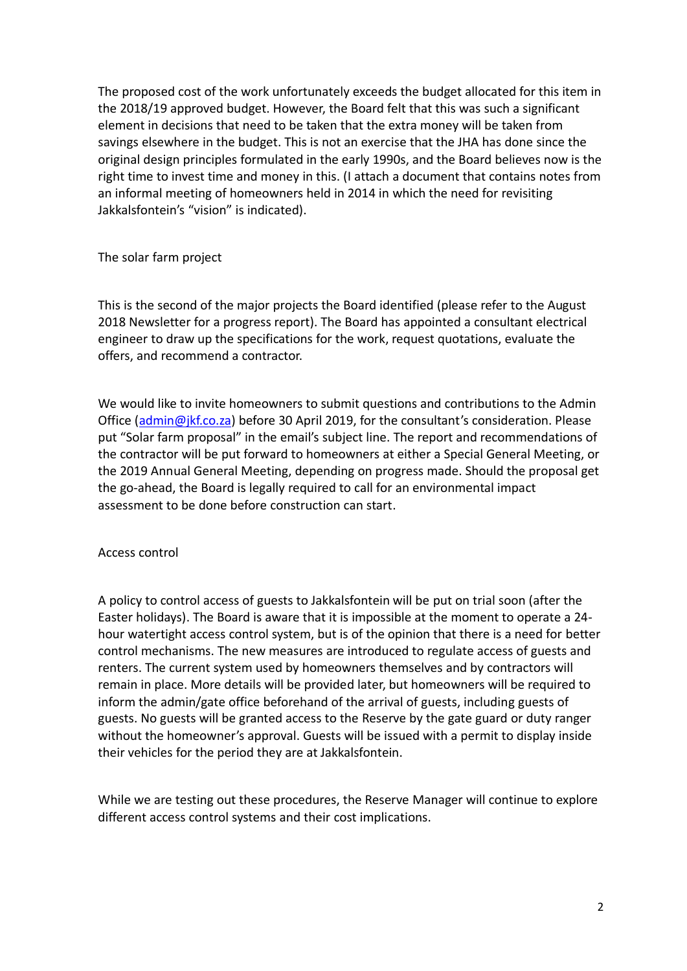The proposed cost of the work unfortunately exceeds the budget allocated for this item in the 2018/19 approved budget. However, the Board felt that this was such a significant element in decisions that need to be taken that the extra money will be taken from savings elsewhere in the budget. This is not an exercise that the JHA has done since the original design principles formulated in the early 1990s, and the Board believes now is the right time to invest time and money in this. (I attach a document that contains notes from an informal meeting of homeowners held in 2014 in which the need for revisiting Jakkalsfontein's "vision" is indicated).

The solar farm project

This is the second of the major projects the Board identified (please refer to the August 2018 Newsletter for a progress report). The Board has appointed a consultant electrical engineer to draw up the specifications for the work, request quotations, evaluate the offers, and recommend a contractor.

We would like to invite homeowners to submit questions and contributions to the Admin Office  $(\underline{\text{admin}\omega\text{ }|\text{kf.co.za}})$  before 30 April 2019, for the consultant's consideration. Please put "Solar farm proposal" in the email's subject line. The report and recommendations of the contractor will be put forward to homeowners at either a Special General Meeting, or the 2019 Annual General Meeting, depending on progress made. Should the proposal get the go-ahead, the Board is legally required to call for an environmental impact assessment to be done before construction can start.

## Access control

A policy to control access of guests to Jakkalsfontein will be put on trial soon (after the Easter holidays). The Board is aware that it is impossible at the moment to operate a 24 hour watertight access control system, but is of the opinion that there is a need for better control mechanisms. The new measures are introduced to regulate access of guests and renters. The current system used by homeowners themselves and by contractors will remain in place. More details will be provided later, but homeowners will be required to inform the admin/gate office beforehand of the arrival of guests, including guests of guests. No guests will be granted access to the Reserve by the gate guard or duty ranger without the homeowner's approval. Guests will be issued with a permit to display inside their vehicles for the period they are at Jakkalsfontein.

While we are testing out these procedures, the Reserve Manager will continue to explore different access control systems and their cost implications.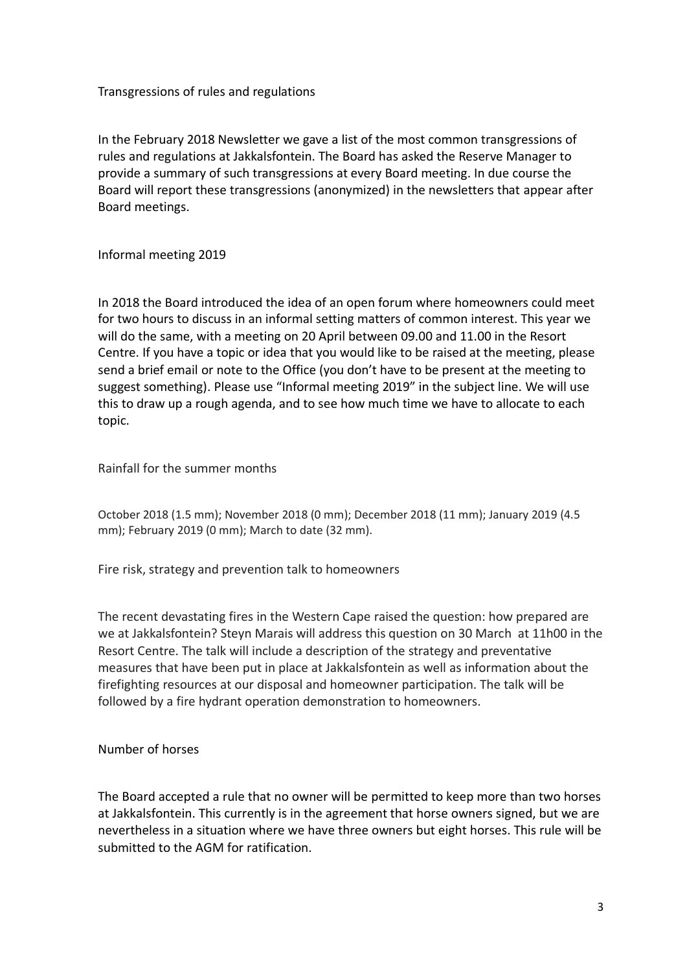Transgressions of rules and regulations

In the February 2018 Newsletter we gave a list of the most common transgressions of rules and regulations at Jakkalsfontein. The Board has asked the Reserve Manager to provide a summary of such transgressions at every Board meeting. In due course the Board will report these transgressions (anonymized) in the newsletters that appear after Board meetings.

Informal meeting 2019

In 2018 the Board introduced the idea of an open forum where homeowners could meet for two hours to discuss in an informal setting matters of common interest. This year we will do the same, with a meeting on 20 April between 09.00 and 11.00 in the Resort Centre. If you have a topic or idea that you would like to be raised at the meeting, please send a brief email or note to the Office (you don't have to be present at the meeting to suggest something). Please use "Informal meeting 2019" in the subject line. We will use this to draw up a rough agenda, and to see how much time we have to allocate to each topic.

Rainfall for the summer months

October 2018 (1.5 mm); November 2018 (0 mm); December 2018 (11 mm); January 2019 (4.5 mm); February 2019 (0 mm); March to date (32 mm).

Fire risk, strategy and prevention talk to homeowners

The recent devastating fires in the Western Cape raised the question: how prepared are we at Jakkalsfontein? Steyn Marais will address this question on 30 March at 11h00 in the Resort Centre. The talk will include a description of the strategy and preventative measures that have been put in place at Jakkalsfontein as well as information about the firefighting resources at our disposal and homeowner participation. The talk will be followed by a fire hydrant operation demonstration to homeowners.

Number of horses

The Board accepted a rule that no owner will be permitted to keep more than two horses at Jakkalsfontein. This currently is in the agreement that horse owners signed, but we are nevertheless in a situation where we have three owners but eight horses. This rule will be submitted to the AGM for ratification.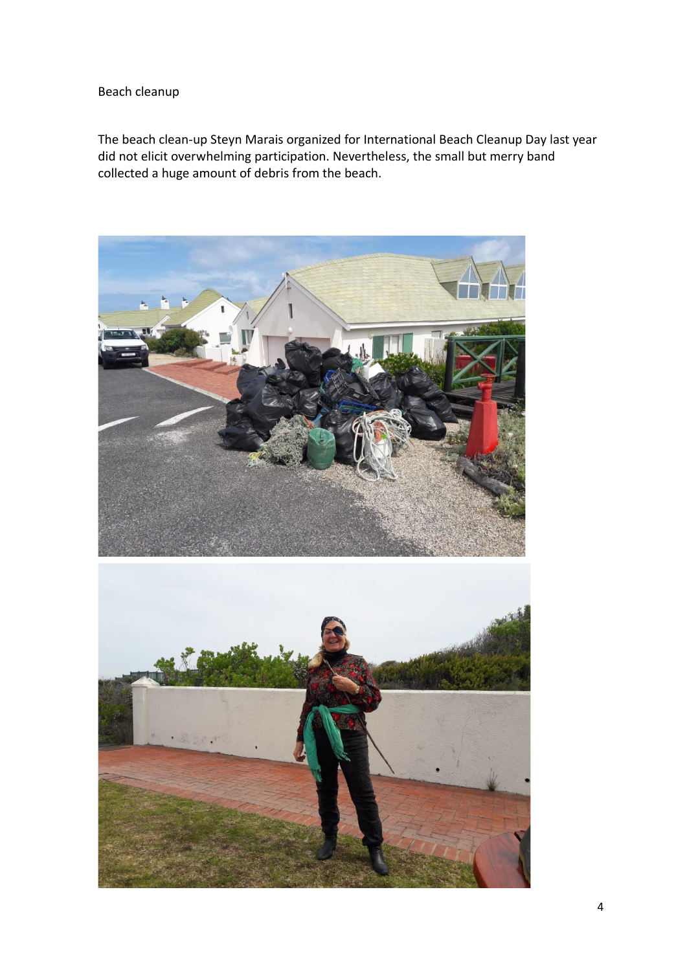## Beach cleanup

The beach clean-up Steyn Marais organized for International Beach Cleanup Day last year did not elicit overwhelming participation. Nevertheless, the small but merry band collected a huge amount of debris from the beach.